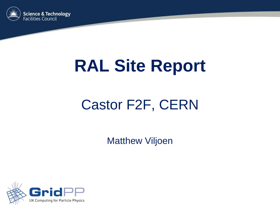

# **RAL Site Report**

### Castor F2F, CERN

Matthew Viljoen

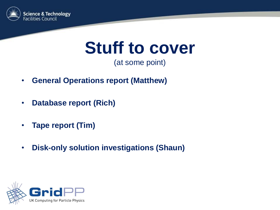

## **Stuff to cover**

(at some point)

- **General Operations report (Matthew)**
- **Database report (Rich)**
- **Tape report (Tim)**
- **Disk-only solution investigations (Shaun)**

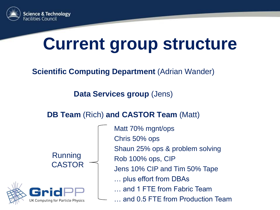

# **Current group structure**

### **Scientific Computing Department (Adrian Wander)**

**Data Services group** (Jens)

#### **DB Team** (Rich) **and CASTOR Team** (Matt)

Running CASTOR



Matt 70% mgnt/ops Chris 50% ops Shaun 25% ops & problem solving Rob 100% ops, CIP Jens 10% CIP and Tim 50% Tape … plus effort from DBAs … and 1 FTE from Fabric Team … and 0.5 FTE from Production Team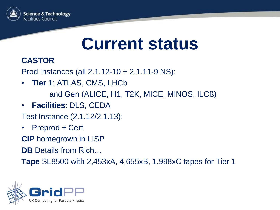

### **Current status**

### **CASTOR**

Prod Instances (all 2.1.12-10 + 2.1.11-9 NS):

- **Tier 1**: ATLAS, CMS, LHCb and Gen (ALICE, H1, T2K, MICE, MINOS, ILCß)
- **Facilities**: DLS, CEDA
- Test Instance (2.1.12/2.1.13):
- Preprod + Cert

**CIP** homegrown in LISP

**DB** Details from Rich…

**Tape** SL8500 with 2,453xA, 4,655xB, 1,998xC tapes for Tier 1

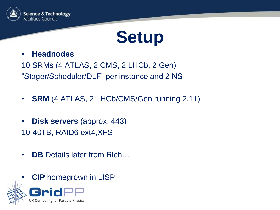

## **Setup**

#### • **Headnodes**

10 SRMs (4 ATLAS, 2 CMS, 2 LHCb, 2 Gen) "Stager/Scheduler/DLF" per instance and 2 NS

- **SRM** (4 ATLAS, 2 LHCb/CMS/Gen running 2.11)
- **Disk servers** (approx. 443) 10-40TB, RAID6 ext4,XFS
- **DB** Details later from Rich...
- **CIP** homegrown in LISP



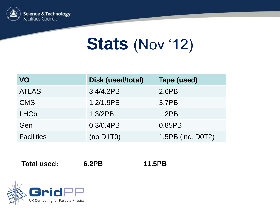

## **Stats** (Nov '12)

| VO                | Disk (used/total) | Tape (used)       |
|-------------------|-------------------|-------------------|
| <b>ATLAS</b>      | 3.4/4.2PB         | 2.6PB             |
| <b>CMS</b>        | 1.2/1.9PB         | 3.7PB             |
| <b>LHCb</b>       | 1.3/2PB           | 1.2PB             |
| Gen               | $0.3/0.4$ PB      | 0.85PB            |
| <b>Facilities</b> | $(no\ D1T0)$      | 1.5PB (inc. D0T2) |

**Total used: 6.2PB 11.5PB**

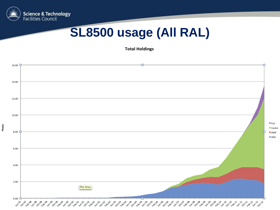

### **SL8500 usage (All RAL)**

**Total Holdings** 

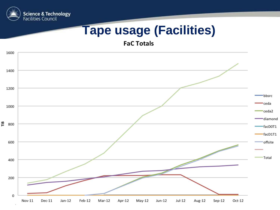

### **Tape usage (Facilities)**

**FaC Totals** 

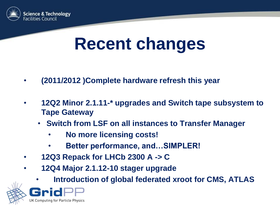

## **Recent changes**

- **(2011/2012 )Complete hardware refresh this year**
- **12Q2 Minor 2.1.11-\* upgrades and Switch tape subsystem to Tape Gateway**
	- **Switch from LSF on all instances to Transfer Manager**
		- **No more licensing costs!**
		- **Better performance, and…SIMPLER!**
- **12Q3 Repack for LHCb 2300 A -> C**
- **12Q4 Major 2.1.12-10 stager upgrade** 
	- **Introduction of global federated xroot for CMS, ATLAS**



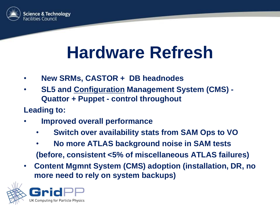

## **Hardware Refresh**

- **New SRMs, CASTOR + DB headnodes**
- **SL5 and Configuration Management System (CMS) - Quattor + Puppet - control throughout**
- **Leading to:**
- **Improved overall performance**
	- **Switch over availability stats from SAM Ops to VO**
	- **No more ATLAS background noise in SAM tests (before, consistent <5% of miscellaneous ATLAS failures)**
- **Content Mgmnt System (CMS) adoption (installation, DR, no more need to rely on system backups)**

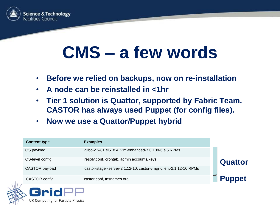

# **CMS – a few words**

- **Before we relied on backups, now on re-installation**
- **A node can be reinstalled in <1hr**
- **Tier 1 solution is Quattor, supported by Fabric Team. CASTOR has always used Puppet (for config files).**
- **Now we use a Quattor/Puppet hybrid**

| <b>Content type</b> | <b>Examples</b>                                                   |                |
|---------------------|-------------------------------------------------------------------|----------------|
| OS payload          | glibc-2.5-81.el5_8.4, vim-enhanced-7.0.109-6.el5 RPMs             |                |
| OS-level config     | resolv.conf, crontab, admin accounts/keys                         | <b>Quattor</b> |
| CASTOR payload      | castor-stager-server-2.1.12-10, castor-vmgr-client-2.1.12-10 RPMs |                |
| CASTOR config       | castor.conf, tnsnames.ora                                         | <b>Puppet</b>  |



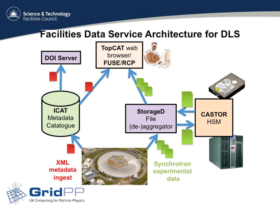

### **Facilities Data Service Architecture for DLS**



UK Computing for Particle Physics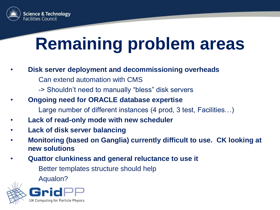

# **Remaining problem areas**

- **Disk server deployment and decommissioning overheads**
	- Can extend automation with CMS
	- -> Shouldn't need to manually "bless" disk servers
- **Ongoing need for ORACLE database expertise**
	- Large number of different instances (4 prod, 3 test, Facilities…)
- **Lack of read-only mode with new scheduler**
- **Lack of disk server balancing**
- **Monitoring (based on Ganglia) currently difficult to use. CK looking at new solutions**
- **Quattor clunkiness and general reluctance to use it**

Better templates structure should help

Aqualon?



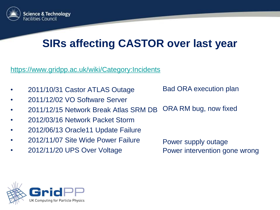

### **SIRs affecting CASTOR over last year**

<https://www.gridpp.ac.uk/wiki/Category:Incidents>

- 2011/10/31 Castor ATLAS Outage
- 2011/12/02 VO Software Server
- 2011/12/15 Network Break Atlas SRM DB ORA RM bug, now fixed
- 2012/03/16 Network Packet Storm
- 2012/06/13 Oracle11 Update Failure
- 2012/11/07 Site Wide Power Failure
- 2012/11/20 UPS Over Voltage

Power supply outage Power intervention gone wrong

Bad ORA execution plan

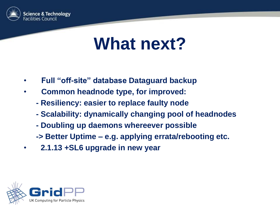

## **What next?**

- **Full "off-site" database Dataguard backup**
- **Common headnode type, for improved:**
	- **- Resiliency: easier to replace faulty node**
	- **- Scalability: dynamically changing pool of headnodes**
	- **- Doubling up daemons whereever possible**
	- **-> Better Uptime – e.g. applying errata/rebooting etc.**
- • **2.1.13 +SL6 upgrade in new year**

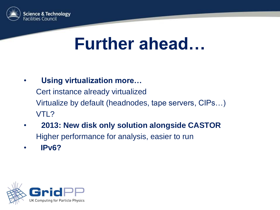

### **Further ahead…**

• **Using virtualization more…**

Cert instance already virtualized Virtualize by default (headnodes, tape servers, CIPs…) VTL?

- **2013: New disk only solution alongside CASTOR** Higher performance for analysis, easier to run
- • **IPv6?**